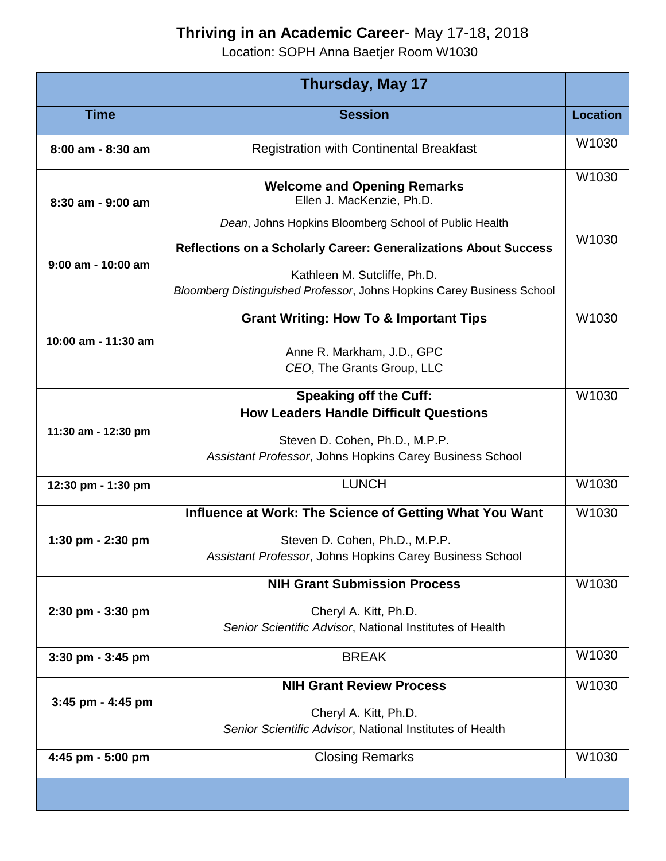## **Thriving in an Academic Career**- May 17-18, 2018

Location: SOPH Anna Baetjer Room W1030

|                      | <b>Thursday, May 17</b>                                                                                |                 |
|----------------------|--------------------------------------------------------------------------------------------------------|-----------------|
| <b>Time</b>          | <b>Session</b>                                                                                         | <b>Location</b> |
| 8:00 am - 8:30 am    | <b>Registration with Continental Breakfast</b>                                                         | W1030           |
| 8:30 am - 9:00 am    | <b>Welcome and Opening Remarks</b><br>Ellen J. MacKenzie, Ph.D.                                        | W1030           |
|                      | Dean, Johns Hopkins Bloomberg School of Public Health                                                  |                 |
| $9:00$ am - 10:00 am | Reflections on a Scholarly Career: Generalizations About Success                                       | W1030           |
|                      | Kathleen M. Sutcliffe, Ph.D.<br>Bloomberg Distinguished Professor, Johns Hopkins Carey Business School |                 |
| 10:00 am - 11:30 am  | <b>Grant Writing: How To &amp; Important Tips</b>                                                      | W1030           |
|                      | Anne R. Markham, J.D., GPC<br>CEO, The Grants Group, LLC                                               |                 |
| 11:30 am - 12:30 pm  | <b>Speaking off the Cuff:</b>                                                                          | W1030           |
|                      | <b>How Leaders Handle Difficult Questions</b>                                                          |                 |
|                      | Steven D. Cohen, Ph.D., M.P.P.<br>Assistant Professor, Johns Hopkins Carey Business School             |                 |
| 12:30 pm - 1:30 pm   | <b>LUNCH</b>                                                                                           | W1030           |
| 1:30 pm - $2:30$ pm  | Influence at Work: The Science of Getting What You Want                                                | W1030           |
|                      | Steven D. Cohen, Ph.D., M.P.P.<br>Assistant Professor, Johns Hopkins Carey Business School             |                 |
| 2:30 pm - 3:30 pm    | <b>NIH Grant Submission Process</b>                                                                    | W1030           |
|                      | Cheryl A. Kitt, Ph.D.<br>Senior Scientific Advisor, National Institutes of Health                      |                 |
| 3:30 pm - 3:45 pm    | <b>BREAK</b>                                                                                           | W1030           |
| 3:45 pm - 4:45 pm    | <b>NIH Grant Review Process</b>                                                                        | W1030           |
|                      | Cheryl A. Kitt, Ph.D.<br>Senior Scientific Advisor, National Institutes of Health                      |                 |
| 4:45 pm - 5:00 pm    | <b>Closing Remarks</b>                                                                                 | W1030           |
|                      |                                                                                                        |                 |
|                      |                                                                                                        |                 |

۰